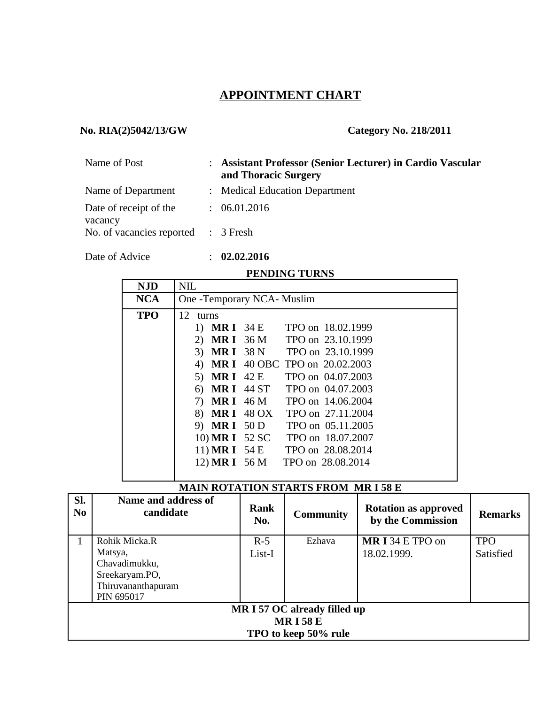# **APPOINTMENT CHART**

## **No. RIA(2)5042/13/GW Category No. 218/2011**

| Name of Post                        | : Assistant Professor (Senior Lecturer) in Cardio Vascular<br>and Thoracic Surgery |  |  |
|-------------------------------------|------------------------------------------------------------------------------------|--|--|
| Name of Department                  | : Medical Education Department                                                     |  |  |
| Date of receipt of the<br>vacancy   | : 06.01.2016                                                                       |  |  |
| No. of vacancies reported : 3 Fresh |                                                                                    |  |  |

Date of Advice : **02.02.2016**

## **PENDING TURNS**

| <b>NJD</b> | <b>NIL</b>                         |
|------------|------------------------------------|
| <b>NCA</b> | One -Temporary NCA- Muslim         |
| <b>TPO</b> | 12<br>turns                        |
|            | TPO on 18.02.1999<br>1) MRI 34 E   |
|            | 2) MRI 36 M TPO on 23.10.1999      |
|            | 3) MRI 38 N TPO on 23.10.1999      |
|            | 4) MR I 40 OBC TPO on 20.02.2003   |
|            | 5) MR I 42 E TPO on 04.07.2003     |
|            | 6) MR I 44 ST TPO on 04.07.2003    |
|            | 7) MR I 46 M TPO on 14.06.2004     |
|            | 8) MR I 48 OX TPO on 27.11.2004    |
|            | 9) MRI 50 D<br>TPO on 05.11.2005   |
|            | 10) MR I 52 SC TPO on 18.07.2007   |
|            | 11) MR I 54 E TPO on 28.08.2014    |
|            | 12) MR I 56 M<br>TPO on 28.08.2014 |
|            |                                    |

## **MAIN ROTATION STARTS FROM MR I 58 E**

| SI.<br>N <sub>0</sub>        | Name and address of<br>candidate | Rank<br>No. | <b>Community</b> | <b>Rotation as approved</b><br>by the Commission | <b>Remarks</b> |  |  |
|------------------------------|----------------------------------|-------------|------------------|--------------------------------------------------|----------------|--|--|
| 1                            | Rohik Micka.R                    | $R-5$       | Ezhava           | MRI34 E TPO on                                   | <b>TPO</b>     |  |  |
|                              | Matsya,                          | List-I      |                  | 18.02.1999.                                      | Satisfied      |  |  |
|                              | Chavadimukku,                    |             |                  |                                                  |                |  |  |
|                              | Sreekaryam.PO,                   |             |                  |                                                  |                |  |  |
|                              | Thiruvananthapuram               |             |                  |                                                  |                |  |  |
|                              | PIN 695017                       |             |                  |                                                  |                |  |  |
| MR I 57 OC already filled up |                                  |             |                  |                                                  |                |  |  |
| <b>MRI58E</b>                |                                  |             |                  |                                                  |                |  |  |
|                              | TPO to keep 50% rule             |             |                  |                                                  |                |  |  |